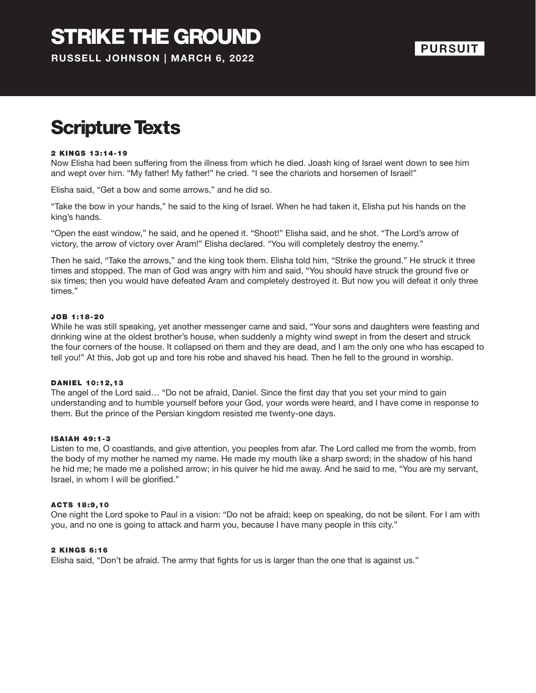### Scripture Texts

#### 2 KINGS 13:14-19

Now Elisha had been suffering from the illness from which he died. Joash king of Israel went down to see him and wept over him. "My father! My father!" he cried. "I see the chariots and horsemen of Israel!"

Elisha said, "Get a bow and some arrows," and he did so.

"Take the bow in your hands," he said to the king of Israel. When he had taken it, Elisha put his hands on the king's hands.

"Open the east window," he said, and he opened it. "Shoot!" Elisha said, and he shot. "The Lord's arrow of victory, the arrow of victory over Aram!" Elisha declared. "You will completely destroy the enemy."

Then he said, "Take the arrows," and the king took them. Elisha told him, "Strike the ground." He struck it three times and stopped. The man of God was angry with him and said, "You should have struck the ground five or six times; then you would have defeated Aram and completely destroyed it. But now you will defeat it only three times."

#### JOB 1 :18-20

While he was still speaking, yet another messenger came and said, "Your sons and daughters were feasting and drinking wine at the oldest brother's house, when suddenly a mighty wind swept in from the desert and struck the four corners of the house. It collapsed on them and they are dead, and I am the only one who has escaped to tell you!" At this, Job got up and tore his robe and shaved his head. Then he fell to the ground in worship.

#### DANIEL 10:12,13

The angel of the Lord said… "Do not be afraid, Daniel. Since the first day that you set your mind to gain understanding and to humble yourself before your God, your words were heard, and I have come in response to them. But the prince of the Persian kingdom resisted me twenty-one days.

#### ISAIAH 49:1-3

Listen to me, O coastlands, and give attention, you peoples from afar. The Lord called me from the womb, from the body of my mother he named my name. He made my mouth like a sharp sword; in the shadow of his hand he hid me; he made me a polished arrow; in his quiver he hid me away. And he said to me, "You are my servant, Israel, in whom I will be glorified."

#### ACTS 18 :9 ,10

One night the Lord spoke to Paul in a vision: "Do not be afraid; keep on speaking, do not be silent. For I am with you, and no one is going to attack and harm you, because I have many people in this city."

#### 2 KINGS 6:16

Elisha said, "Don't be afraid. The army that fights for us is larger than the one that is against us."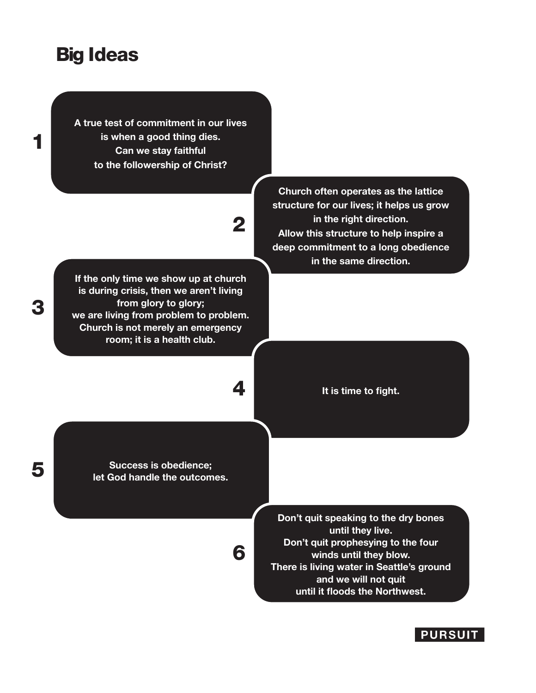### Big Ideas

1

3

**A true test of commitment in our lives is when a good thing dies. Can we stay faithful to the followership of Christ?**

# 2

6

**If the only time we show up at church is during crisis, then we aren't living from glory to glory; we are living from problem to problem. Church is not merely an emergency room; it is a health club.**

**Church often operates as the lattice structure for our lives; it helps us grow in the right direction. Allow this structure to help inspire a deep commitment to a long obedience in the same direction.**

4 **It is time to fight.** 

**Success is obedience;** 5 **let God handle the outcomes.**

**Don't quit speaking to the dry bones until they live. Don't quit prophesying to the four winds until they blow. There is living water in Seattle's ground and we will not quit until it floods the Northwest.**